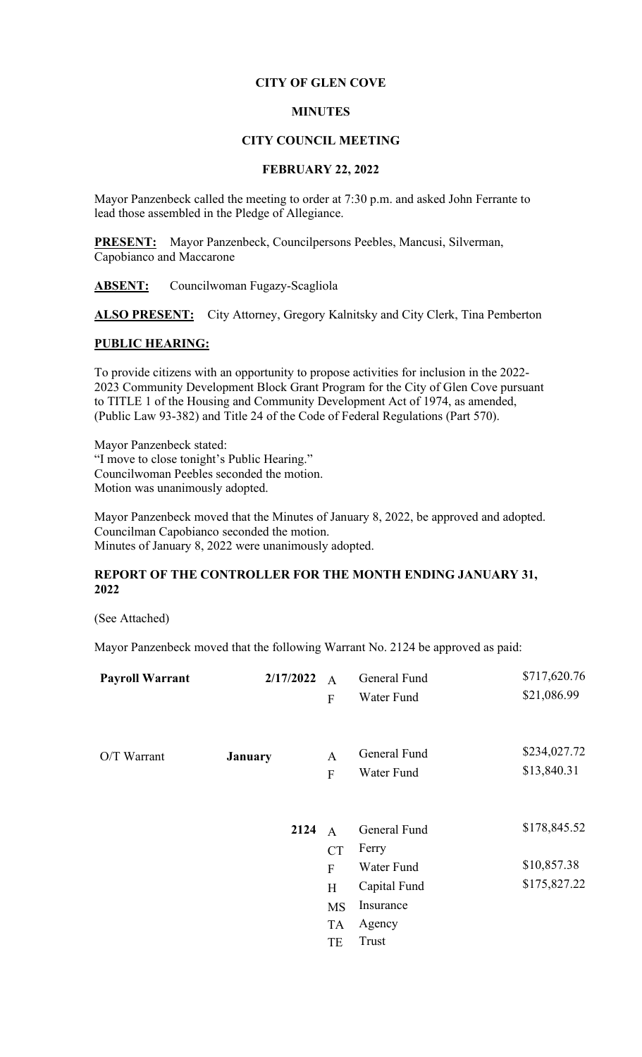## **CITY OF GLEN COVE**

## **MINUTES**

### **CITY COUNCIL MEETING**

### **FEBRUARY 22, 2022**

Mayor Panzenbeck called the meeting to order at 7:30 p.m. and asked John Ferrante to lead those assembled in the Pledge of Allegiance.

**PRESENT:** Mayor Panzenbeck, Councilpersons Peebles, Mancusi, Silverman, Capobianco and Maccarone

**ABSENT:** Councilwoman Fugazy-Scagliola

**ALSO PRESENT:** City Attorney, Gregory Kalnitsky and City Clerk, Tina Pemberton

# **PUBLIC HEARING:**

To provide citizens with an opportunity to propose activities for inclusion in the 2022- 2023 Community Development Block Grant Program for the City of Glen Cove pursuant to TITLE 1 of the Housing and Community Development Act of 1974, as amended, (Public Law 93-382) and Title 24 of the Code of Federal Regulations (Part 570).

Mayor Panzenbeck stated: "I move to close tonight's Public Hearing." Councilwoman Peebles seconded the motion. Motion was unanimously adopted.

Mayor Panzenbeck moved that the Minutes of January 8, 2022, be approved and adopted. Councilman Capobianco seconded the motion. Minutes of January 8, 2022 were unanimously adopted.

# **REPORT OF THE CONTROLLER FOR THE MONTH ENDING JANUARY 31, 2022**

(See Attached)

Mayor Panzenbeck moved that the following Warrant No. 2124 be approved as paid:

| <b>Payroll Warrant</b> | 2/17/2022 | $\overline{A}$<br>${\bf F}$ | General Fund<br>Water Fund | \$717,620.76<br>\$21,086.99 |
|------------------------|-----------|-----------------------------|----------------------------|-----------------------------|
|                        |           |                             |                            |                             |
| O/T Warrant            | January   | A                           | General Fund               | \$234,027.72                |
|                        |           | ${\bf F}$                   | Water Fund                 | \$13,840.31                 |
|                        |           |                             |                            |                             |
|                        | 2124      | $\overline{A}$              | General Fund               | \$178,845.52                |
|                        |           | <b>CT</b>                   | Ferry                      |                             |
|                        |           | $\overline{F}$              | Water Fund                 | \$10,857.38                 |
|                        |           | H                           | Capital Fund               | \$175,827.22                |
|                        |           | <b>MS</b>                   | Insurance                  |                             |
|                        |           | <b>TA</b>                   | Agency                     |                             |
|                        |           | TE                          | Trust                      |                             |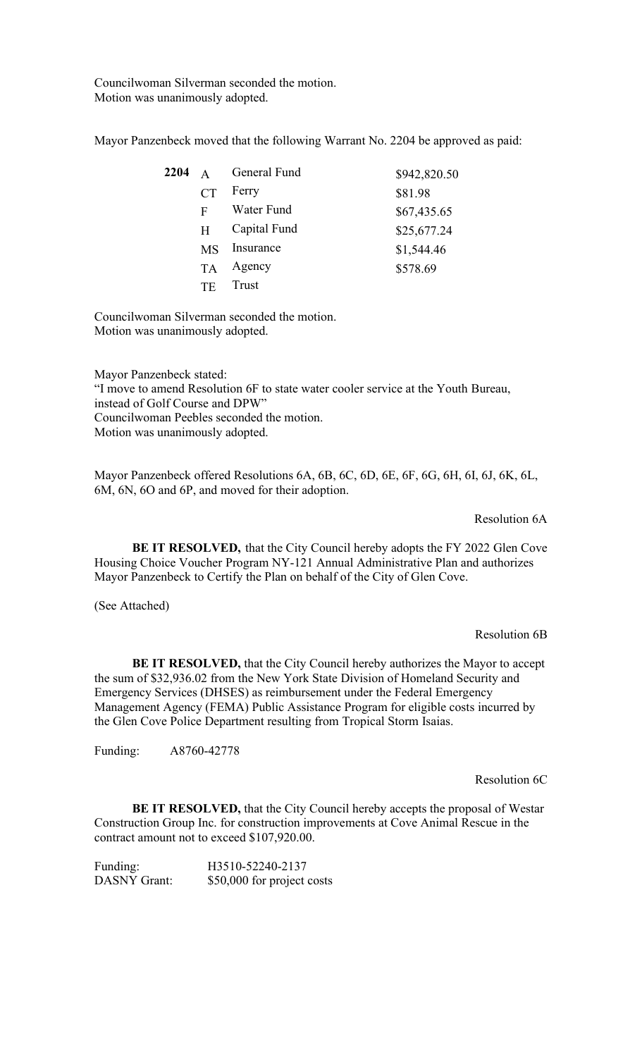Councilwoman Silverman seconded the motion. Motion was unanimously adopted.

Mayor Panzenbeck moved that the following Warrant No. 2204 be approved as paid:

| 2204 | $\mathsf{A}$ | General Fund | \$942,820.50 |
|------|--------------|--------------|--------------|
|      | CT           | Ferry        | \$81.98      |
|      | F            | Water Fund   | \$67,435.65  |
|      | H            | Capital Fund | \$25,677.24  |
|      | MS           | Insurance    | \$1,544.46   |
|      | <b>TA</b>    | Agency       | \$578.69     |
|      | TF           | <b>Trust</b> |              |

Councilwoman Silverman seconded the motion. Motion was unanimously adopted.

Mayor Panzenbeck stated: "I move to amend Resolution 6F to state water cooler service at the Youth Bureau, instead of Golf Course and DPW" Councilwoman Peebles seconded the motion. Motion was unanimously adopted.

Mayor Panzenbeck offered Resolutions 6A, 6B, 6C, 6D, 6E, 6F, 6G, 6H, 6I, 6J, 6K, 6L, 6M, 6N, 6O and 6P, and moved for their adoption.

## Resolution 6A

**BE IT RESOLVED,** that the City Council hereby adopts the FY 2022 Glen Cove Housing Choice Voucher Program NY-121 Annual Administrative Plan and authorizes Mayor Panzenbeck to Certify the Plan on behalf of the City of Glen Cove.

(See Attached)

### Resolution 6B

**BE IT RESOLVED,** that the City Council hereby authorizes the Mayor to accept the sum of \$32,936.02 from the New York State Division of Homeland Security and Emergency Services (DHSES) as reimbursement under the Federal Emergency Management Agency (FEMA) Public Assistance Program for eligible costs incurred by the Glen Cove Police Department resulting from Tropical Storm Isaias.

Funding: A8760-42778

Resolution 6C

**BE IT RESOLVED,** that the City Council hereby accepts the proposal of Westar Construction Group Inc. for construction improvements at Cove Animal Rescue in the contract amount not to exceed \$107,920.00.

Funding: H3510-52240-2137 DASNY Grant: \$50,000 for project costs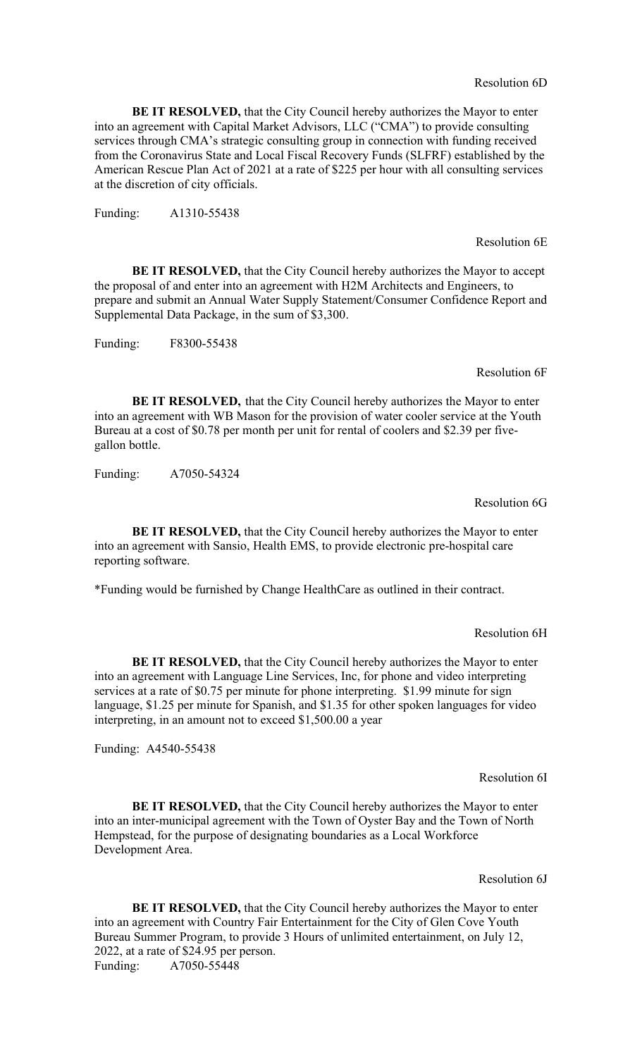**BE IT RESOLVED,** that the City Council hereby authorizes the Mayor to enter into an agreement with Capital Market Advisors, LLC ("CMA") to provide consulting services through CMA's strategic consulting group in connection with funding received from the Coronavirus State and Local Fiscal Recovery Funds (SLFRF) established by the American Rescue Plan Act of 2021 at a rate of \$225 per hour with all consulting services at the discretion of city officials.

Funding: A1310-55438

Resolution 6E

**BE IT RESOLVED,** that the City Council hereby authorizes the Mayor to accept the proposal of and enter into an agreement with H2M Architects and Engineers, to prepare and submit an Annual Water Supply Statement/Consumer Confidence Report and Supplemental Data Package, in the sum of \$3,300.

Funding: F8300-55438

Resolution 6F

**BE IT RESOLVED,** that the City Council hereby authorizes the Mayor to enter into an agreement with WB Mason for the provision of water cooler service at the Youth Bureau at a cost of \$0.78 per month per unit for rental of coolers and \$2.39 per fivegallon bottle.

Funding: A7050-54324

Resolution 6G

**BE IT RESOLVED,** that the City Council hereby authorizes the Mayor to enter into an agreement with Sansio, Health EMS, to provide electronic pre-hospital care reporting software.

\*Funding would be furnished by Change HealthCare as outlined in their contract.

Resolution 6H

**BE IT RESOLVED,** that the City Council hereby authorizes the Mayor to enter into an agreement with Language Line Services, Inc, for phone and video interpreting services at a rate of \$0.75 per minute for phone interpreting. \$1.99 minute for sign language, \$1.25 per minute for Spanish, and \$1.35 for other spoken languages for video interpreting, in an amount not to exceed \$1,500.00 a year

Funding: A4540-55438

Resolution 6I

**BE IT RESOLVED,** that the City Council hereby authorizes the Mayor to enter into an inter-municipal agreement with the Town of Oyster Bay and the Town of North Hempstead, for the purpose of designating boundaries as a Local Workforce Development Area.

Resolution 6J

**BE IT RESOLVED,** that the City Council hereby authorizes the Mayor to enter into an agreement with Country Fair Entertainment for the City of Glen Cove Youth Bureau Summer Program, to provide 3 Hours of unlimited entertainment, on July 12, 2022, at a rate of \$24.95 per person. Funding: A7050-55448

Resolution 6D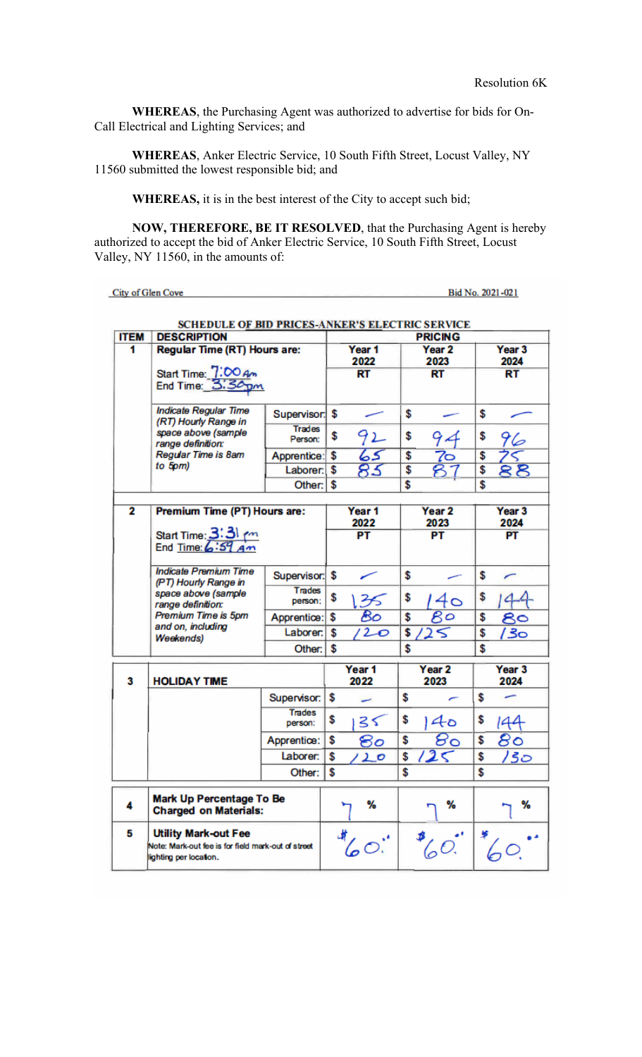**WHEREAS**, the Purchasing Agent was authorized to advertise for bids for On-Call Electrical and Lighting Services; and

**WHEREAS**, Anker Electric Service, 10 South Fifth Street, Locust Valley, NY 11560 submitted the lowest responsible bid; and

**WHEREAS,** it is in the best interest of the City to accept such bid;

**NOW, THEREFORE, BE IT RESOLVED**, that the Purchasing Agent is hereby authorized to accept the bid of Anker Electric Service, 10 South Fifth Street, Locust Valley, NY 11560, in the amounts of:

City of Glen Cove Bid No. 2021-021 **SCHEDULE OF BID PRICES-ANKER'S ELECTRIC SERVICE ITEM DESCRIPTION PRICING Regular Time (RT) Hours are:** Year 3  $\overline{\mathbf{1}}$ Year 1 Year<sub>2</sub> 2024 2022 2023 Start Time: 7:00 Am<br>End Time: 3:30 pm  $RT$ **RT**  $RT$ **Indicate Regular Time** Supervisor: \$ \$ \$ (RT) Hourly Range in **Trades** space above (sample  $92$ \$ \$ \$ 94 96 Person: range definition: Regular Time is 8am Apprentice: \$ 65  $\overline{\mathbf{s}}$  $\overline{\mathbf{s}}$ うご  $to 5$ <sub>pm</sub> $)$ 83  $88$ Laborer: \$  $\overline{\mathbf{s}}$ \$ Other: \$ s \$  $\overline{2}$ Premium Time (PT) Hours are: Year 1 Year<sub>2</sub> Year<sub>3</sub> 2022 2023 2024 Start Time: 3:31 m  $PT$ PT PT **Indicate Premium Time** Supervisor: \$ \$ \$ r س (PT) Hourly Range in Trades space above (sample  $40$ \$ \$ \$ 35 44 person: range definition: Premium Time is 5pm Bo  $\overline{8}$ o Apprentice: \$ \$ \$ 80 and on, including Laborer: \$  $120$ \$  $25$ \$ 130 **Weekends)** Other: \$ \$ \$ Year 1 Year<sub>2</sub> Year<sub>3</sub> 2022 2023 2024 3 **HOLIDAY TIME** Supervisor: \$ \$ \$ Trades \$ \$ 3٢  $40$ \$ 144 person:  $\overline{\mathcal{B}}\circ$  $80$ Apprentice: \$ \$ \$ రిం Laborer: \$ \$ \$  $12<$ /30 120 Other: l s \$ \$ Mark Up Percentage To Be % % % 4 **Charged on Materials: Utility Mark-out Fee** 5  $\ ^{\circ}C^{\circ}$ 60.  $60.$ Note: Mark-out fee is for field mark-out of street lighting per location.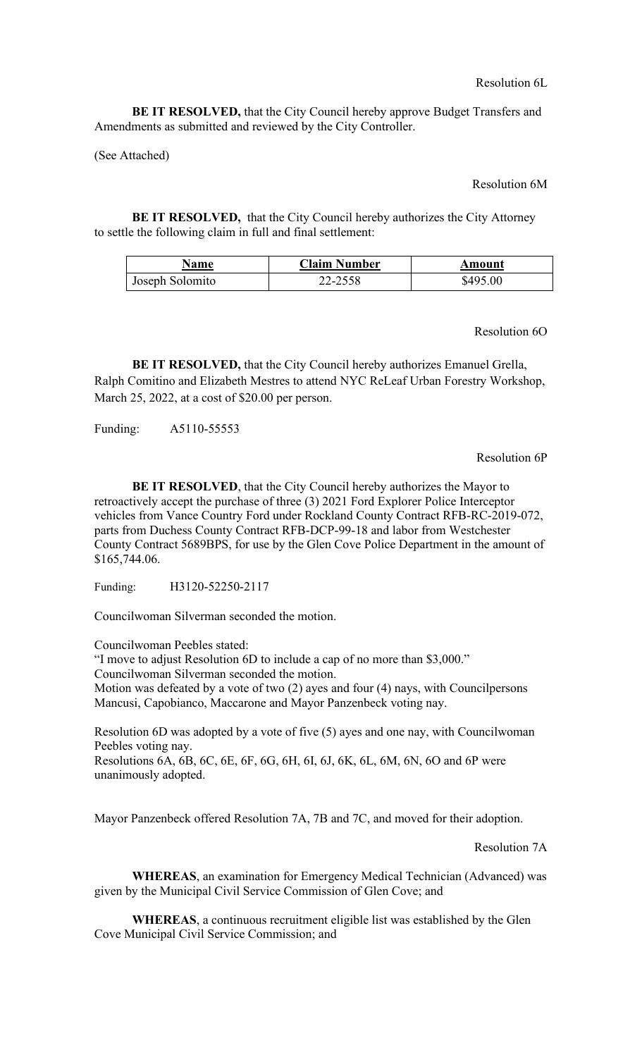Resolution 6L

**BE IT RESOLVED,** that the City Council hereby approve Budget Transfers and Amendments as submitted and reviewed by the City Controller.

(See Attached)

Resolution 6M

**BE IT RESOLVED,** that the City Council hereby authorizes the City Attorney to settle the following claim in full and final settlement:

| <b>Name</b>     | <b>Claim Number</b> | Amount   |
|-----------------|---------------------|----------|
| Joseph Solomito | 22-2558             | \$495.00 |

Resolution 6O

**BE IT RESOLVED,** that the City Council hereby authorizes Emanuel Grella, Ralph Comitino and Elizabeth Mestres to attend NYC ReLeaf Urban Forestry Workshop, March 25, 2022, at a cost of \$20.00 per person.

Funding: A5110-55553

Resolution 6P

**BE IT RESOLVED**, that the City Council hereby authorizes the Mayor to retroactively accept the purchase of three (3) 2021 Ford Explorer Police Interceptor vehicles from Vance Country Ford under Rockland County Contract RFB-RC-2019-072, parts from Duchess County Contract RFB-DCP-99-18 and labor from Westchester County Contract 5689BPS, for use by the Glen Cove Police Department in the amount of \$165,744.06.

Funding: H3120-52250-2117

Councilwoman Silverman seconded the motion.

Councilwoman Peebles stated:

"I move to adjust Resolution 6D to include a cap of no more than \$3,000."

Councilwoman Silverman seconded the motion.

Motion was defeated by a vote of two (2) ayes and four (4) nays, with Councilpersons Mancusi, Capobianco, Maccarone and Mayor Panzenbeck voting nay.

Resolution 6D was adopted by a vote of five (5) ayes and one nay, with Councilwoman Peebles voting nay. Resolutions 6A, 6B, 6C, 6E, 6F, 6G, 6H, 6I, 6J, 6K, 6L, 6M, 6N, 6O and 6P were unanimously adopted.

Mayor Panzenbeck offered Resolution 7A, 7B and 7C, and moved for their adoption.

Resolution 7A

**WHEREAS**, an examination for Emergency Medical Technician (Advanced) was given by the Municipal Civil Service Commission of Glen Cove; and

**WHEREAS**, a continuous recruitment eligible list was established by the Glen Cove Municipal Civil Service Commission; and